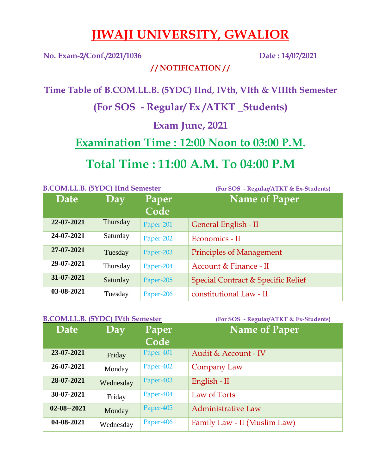## **JIWAJI UNIVERSITY, GWALIOR**

**No. Exam-2/Conf./2021/1036 Date : 14/07/2021**

**/ / NOTIFICATION / /**

**Time Table of B.COM.LL.B. (5YDC) IInd, IVth, VIth & VIIIth Semester** 

**(For SOS - Regular/ Ex /ATKT \_Students)** 

**Exam June, 2021**

**Examination Time : 12:00 Noon to 03:00 P.M.**

**Total Time : 11:00 A.M. To 04:00 P.M**

| <b>B.COM.LL.B. (5YDC) IInd Semester</b> |          |           | (For SOS - Regular/ATKT & Ex-Students) |
|-----------------------------------------|----------|-----------|----------------------------------------|
| Date                                    | Day      | Paper     | <b>Name of Paper</b>                   |
|                                         |          | Code      |                                        |
| 22-07-2021                              | Thursday | Paper-201 | General English - II                   |
| 24-07-2021                              | Saturday | Paper-202 | Economics - II                         |
| 27-07-2021                              | Tuesday  | Paper-203 | <b>Principles of Management</b>        |
| 29-07-2021                              | Thursday | Paper-204 | Account & Finance - II                 |
| 31-07-2021                              | Saturday | Paper-205 | Special Contract & Specific Relief     |
| 03-08-2021                              | Tuesday  | Paper-206 | constitutional Law - II                |

| <b>B.COM.LL.B. (5YDC) IVth Semester</b> |           |           | (For SOS - Regular/ATKT & Ex-Students) |
|-----------------------------------------|-----------|-----------|----------------------------------------|
| Date                                    | Day       | Paper     | <b>Name of Paper</b>                   |
|                                         |           | Code      |                                        |
| 23-07-2021                              | Friday    | Paper-401 | Audit & Account - IV                   |
| 26-07-2021                              | Monday    | Paper-402 | Company Law                            |
| 28-07-2021                              | Wednesday | Paper-403 | English - II                           |
| 30-07-2021                              | Friday    | Paper-404 | Law of Torts                           |
| $02 - 08 - 2021$                        | Monday    | Paper-405 | <b>Administrative Law</b>              |
| 04-08-2021                              | Wednesday | Paper-406 | Family Law - II (Muslim Law)           |